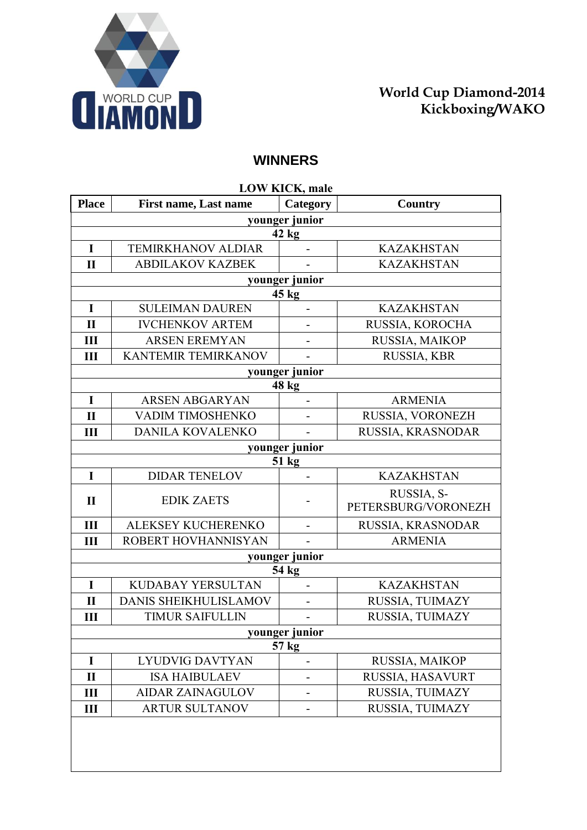

## **WINNERS**

| <b>LOW KICK, male</b> |                              |                          |                                   |  |  |
|-----------------------|------------------------------|--------------------------|-----------------------------------|--|--|
| <b>Place</b>          | <b>First name, Last name</b> | Category                 | Country                           |  |  |
|                       |                              | younger junior           |                                   |  |  |
|                       |                              | $42 \text{ kg}$          |                                   |  |  |
| I                     | <b>TEMIRKHANOV ALDIAR</b>    |                          | <b>KAZAKHSTAN</b>                 |  |  |
| $\mathbf{I}$          | <b>ABDILAKOV KAZBEK</b>      |                          | <b>KAZAKHSTAN</b>                 |  |  |
|                       |                              | younger junior           |                                   |  |  |
| 45 kg                 |                              |                          |                                   |  |  |
| I                     | <b>SULEIMAN DAUREN</b>       | $\overline{a}$           | <b>KAZAKHSTAN</b>                 |  |  |
| $\mathbf{I}$          | <b>IVCHENKOV ARTEM</b>       | $\overline{\phantom{0}}$ | RUSSIA, KOROCHA                   |  |  |
| III                   | <b>ARSEN EREMYAN</b>         |                          | RUSSIA, MAIKOP                    |  |  |
| Ш                     | KANTEMIR TEMIRKANOV          |                          | RUSSIA, KBR                       |  |  |
|                       |                              | younger junior           |                                   |  |  |
|                       |                              | 48 kg                    |                                   |  |  |
| $\mathbf I$           | <b>ARSEN ABGARYAN</b>        |                          | <b>ARMENIA</b>                    |  |  |
| $\mathbf{I}$          | VADIM TIMOSHENKO             | $\overline{\phantom{0}}$ | RUSSIA, VORONEZH                  |  |  |
| Ш                     | DANILA KOVALENKO             |                          | RUSSIA, KRASNODAR                 |  |  |
|                       |                              | younger junior           |                                   |  |  |
|                       |                              | 51 kg                    |                                   |  |  |
| $\mathbf I$           | <b>DIDAR TENELOV</b>         |                          | <b>KAZAKHSTAN</b>                 |  |  |
| $\mathbf{I}$          | <b>EDIK ZAETS</b>            |                          | RUSSIA, S-<br>PETERSBURG/VORONEZH |  |  |
| III                   | ALEKSEY KUCHERENKO           | $\overline{\phantom{0}}$ | RUSSIA, KRASNODAR                 |  |  |
| Ш                     | ROBERT HOVHANNISYAN          |                          | <b>ARMENIA</b>                    |  |  |
| younger junior        |                              |                          |                                   |  |  |
|                       |                              | 54 kg                    |                                   |  |  |
| I                     | KUDABAY YERSULTAN            | $\overline{\phantom{m}}$ | <b>KAZAKHSTAN</b>                 |  |  |
| $\mathbf{I}$          | DANIS SHEIKHULISLAMOV        |                          | RUSSIA, TUIMAZY                   |  |  |
| Ш                     | <b>TIMUR SAIFULLIN</b>       | $\overline{\phantom{a}}$ | RUSSIA, TUIMAZY                   |  |  |
| younger junior        |                              |                          |                                   |  |  |
| 57 kg                 |                              |                          |                                   |  |  |
| I                     | <b>LYUDVIG DAVTYAN</b>       |                          | RUSSIA, MAIKOP                    |  |  |
| $\mathbf{I}$          | <b>ISA HAIBULAEV</b>         |                          | RUSSIA, HASAVURT                  |  |  |
| Ш                     | <b>AIDAR ZAINAGULOV</b>      |                          | RUSSIA, TUIMAZY                   |  |  |
| Ш                     | <b>ARTUR SULTANOV</b>        |                          | RUSSIA, TUIMAZY                   |  |  |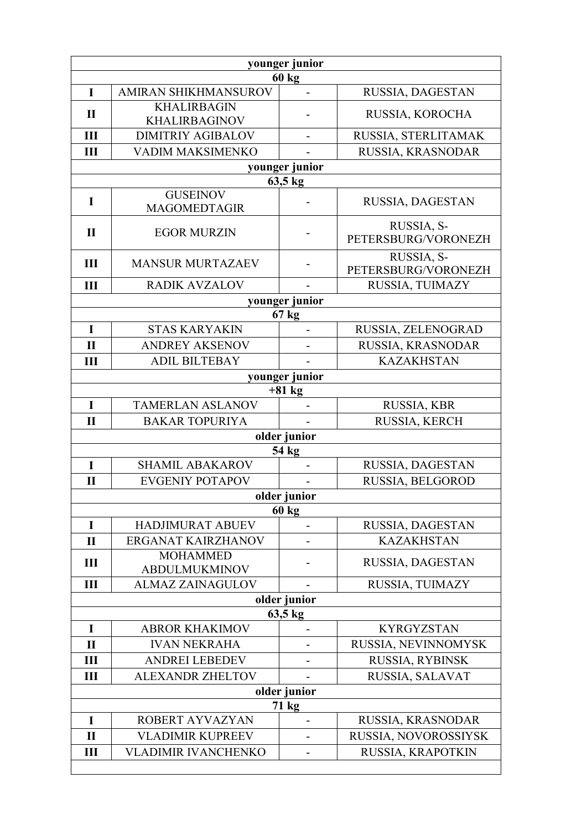| younger junior |                                            |                          |                                   |  |
|----------------|--------------------------------------------|--------------------------|-----------------------------------|--|
|                |                                            | <b>60 kg</b>             |                                   |  |
| I              | AMIRAN SHIKHMANSUROV                       | $\overline{\phantom{m}}$ | RUSSIA, DAGESTAN                  |  |
| $\mathbf{I}$   | <b>KHALIRBAGIN</b><br><b>KHALIRBAGINOV</b> |                          | RUSSIA, KOROCHA                   |  |
| III            | <b>DIMITRIY AGIBALOV</b>                   |                          | RUSSIA, STERLITAMAK               |  |
| Ш              | VADIM MAKSIMENKO                           |                          | RUSSIA, KRASNODAR                 |  |
|                |                                            | younger junior           |                                   |  |
|                |                                            | 63,5 kg                  |                                   |  |
| I              | <b>GUSEINOV</b><br><b>MAGOMEDTAGIR</b>     |                          | RUSSIA, DAGESTAN                  |  |
| $\mathbf{I}$   | <b>EGOR MURZIN</b>                         |                          | RUSSIA, S-<br>PETERSBURG/VORONEZH |  |
| III            | <b>MANSUR MURTAZAEV</b>                    |                          | RUSSIA, S-<br>PETERSBURG/VORONEZH |  |
| Ш              | <b>RADIK AVZALOV</b>                       |                          | RUSSIA, TUIMAZY                   |  |
|                |                                            | younger junior           |                                   |  |
|                |                                            | 67 kg                    |                                   |  |
| $\mathbf I$    | <b>STAS KARYAKIN</b>                       | $\overline{\phantom{a}}$ | RUSSIA, ZELENOGRAD                |  |
| $\mathbf{I}$   | <b>ANDREY AKSENOV</b>                      |                          | RUSSIA, KRASNODAR                 |  |
| $\mathbf{I}$   | <b>ADIL BILTEBAY</b>                       |                          | <b>KAZAKHSTAN</b>                 |  |
|                |                                            | younger junior           |                                   |  |
|                |                                            | $+81$ kg                 |                                   |  |
| I              | <b>TAMERLAN ASLANOV</b>                    |                          | RUSSIA, KBR                       |  |
| $\mathbf{I}$   | <b>BAKAR TOPURIYA</b>                      |                          | RUSSIA, KERCH                     |  |
|                |                                            | older junior<br>54 kg    |                                   |  |
| I              | <b>SHAMIL ABAKAROV</b>                     |                          | RUSSIA, DAGESTAN                  |  |
| $\mathbf{I}$   | <b>EVGENIY POTAPOV</b>                     |                          | RUSSIA, BELGOROD                  |  |
| older junior   |                                            |                          |                                   |  |
|                |                                            | 60 kg                    |                                   |  |
| I              | <b>HADJIMURAT ABUEV</b>                    |                          | RUSSIA, DAGESTAN                  |  |
| $\mathbf{I}$   | ERGANAT KAIRZHANOV                         |                          | <b>KAZAKHSTAN</b>                 |  |
| Ш              | <b>MOHAMMED</b><br><b>ABDULMUKMINOV</b>    |                          | RUSSIA, DAGESTAN                  |  |
| III            | <b>ALMAZ ZAINAGULOV</b>                    |                          | RUSSIA, TUIMAZY                   |  |
| older junior   |                                            |                          |                                   |  |
| 63,5 kg        |                                            |                          |                                   |  |
| I              | <b>ABROR KHAKIMOV</b>                      |                          | <b>KYRGYZSTAN</b>                 |  |
| $\mathbf{I}$   | <b>IVAN NEKRAHA</b>                        |                          | RUSSIA, NEVINNOMYSK               |  |
| Ш              | <b>ANDREI LEBEDEV</b>                      |                          | RUSSIA, RYBINSK                   |  |
| Ш              | <b>ALEXANDR ZHELTOV</b>                    |                          | RUSSIA, SALAVAT                   |  |
| older junior   |                                            |                          |                                   |  |
|                |                                            | 71 kg                    |                                   |  |
| I              | ROBERT AYVAZYAN                            |                          | RUSSIA, KRASNODAR                 |  |
| $\mathbf{I}$   | <b>VLADIMIR KUPREEV</b>                    | -                        | RUSSIA, NOVOROSSIYSK              |  |
| Ш              | <b>VLADIMIR IVANCHENKO</b>                 |                          | RUSSIA, KRAPOTKIN                 |  |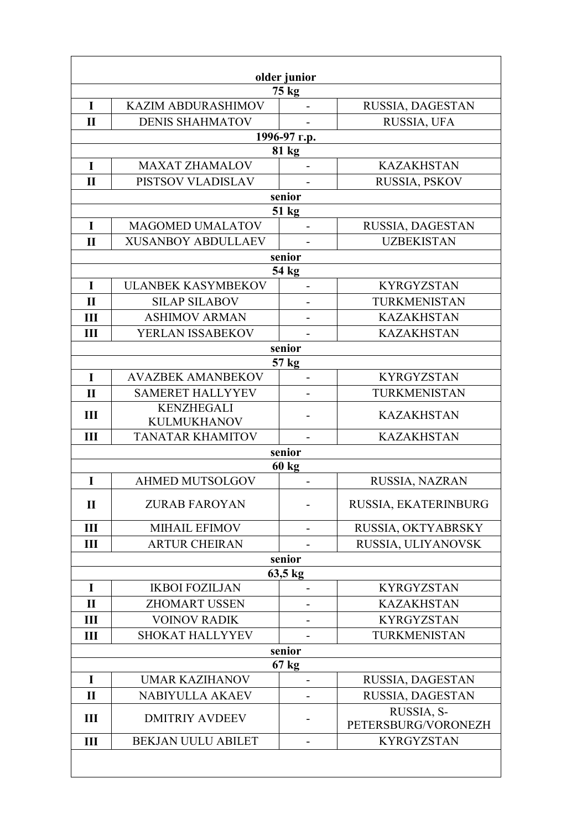| older junior   |                           |                          |                      |  |
|----------------|---------------------------|--------------------------|----------------------|--|
|                |                           | 75 kg                    |                      |  |
| I              | <b>KAZIM ABDURASHIMOV</b> |                          | RUSSIA, DAGESTAN     |  |
| $\mathbf{I}$   | <b>DENIS SHAHMATOV</b>    |                          | RUSSIA, UFA          |  |
|                |                           | 1996-97 г.р.             |                      |  |
|                |                           | 81 kg                    |                      |  |
| I              | <b>MAXAT ZHAMALOV</b>     |                          | <b>KAZAKHSTAN</b>    |  |
| $\mathbf{I}$   | PISTSOV VLADISLAV         |                          | RUSSIA, PSKOV        |  |
|                |                           | senior                   |                      |  |
|                |                           | $51 \text{ kg}$          |                      |  |
| I              | <b>MAGOMED UMALATOV</b>   | $\overline{a}$           | RUSSIA, DAGESTAN     |  |
| $\mathbf{I}$   | <b>XUSANBOY ABDULLAEV</b> |                          | <b>UZBEKISTAN</b>    |  |
|                |                           | senior<br>54 kg          |                      |  |
| $\mathbf I$    | <b>ULANBEK KASYMBEKOV</b> | $\overline{a}$           | <b>KYRGYZSTAN</b>    |  |
| $\mathbf{I}$   | <b>SILAP SILABOV</b>      |                          | TURKMENISTAN         |  |
| $\mathbf{III}$ | <b>ASHIMOV ARMAN</b>      |                          | <b>KAZAKHSTAN</b>    |  |
| III            | YERLAN ISSABEKOV          | $\overline{\phantom{a}}$ | <b>KAZAKHSTAN</b>    |  |
|                |                           | senior                   |                      |  |
|                |                           | 57 kg                    |                      |  |
| $\mathbf I$    | <b>AVAZBEK AMANBEKOV</b>  |                          | <b>KYRGYZSTAN</b>    |  |
| $\mathbf{I}$   | <b>SAMERET HALLYYEV</b>   |                          | TURKMENISTAN         |  |
| III            | <b>KENZHEGALI</b>         |                          | <b>KAZAKHSTAN</b>    |  |
|                | <b>KULMUKHANOV</b>        |                          |                      |  |
| Ш              | <b>TANATAR KHAMITOV</b>   |                          | <b>KAZAKHSTAN</b>    |  |
|                |                           | senior                   |                      |  |
|                |                           | <b>60 kg</b>             |                      |  |
| I              | <b>AHMED MUTSOLGOV</b>    |                          | RUSSIA, NAZRAN       |  |
| П              | <b>ZURAB FAROYAN</b>      |                          | RUSSIA, EKATERINBURG |  |
| III            | <b>MIHAIL EFIMOV</b>      | -                        | RUSSIA, OKTYABRSKY   |  |
| Ш              | <b>ARTUR CHEIRAN</b>      |                          | RUSSIA, ULIYANOVSK   |  |
|                |                           | senior                   |                      |  |
|                |                           | 63,5 kg                  |                      |  |
| I              | <b>IKBOI FOZILJAN</b>     |                          | <b>KYRGYZSTAN</b>    |  |
| $\mathbf{I}$   | <b>ZHOMART USSEN</b>      |                          | <b>KAZAKHSTAN</b>    |  |
| Ш              | <b>VOINOV RADIK</b>       |                          | <b>KYRGYZSTAN</b>    |  |
| III            | <b>SHOKAT HALLYYEV</b>    |                          | TURKMENISTAN         |  |
| senior         |                           |                          |                      |  |
| I              | <b>UMAR KAZIHANOV</b>     | $67 \text{ kg}$          | RUSSIA, DAGESTAN     |  |
| $\mathbf{I}$   | NABIYULLA AKAEV           |                          | RUSSIA, DAGESTAN     |  |
|                |                           |                          | RUSSIA, S-           |  |
| $\mathbf{III}$ | <b>DMITRIY AVDEEV</b>     |                          | PETERSBURG/VORONEZH  |  |
| $\mathbf{III}$ | <b>BEKJAN UULU ABILET</b> | -                        | <b>KYRGYZSTAN</b>    |  |
|                |                           |                          |                      |  |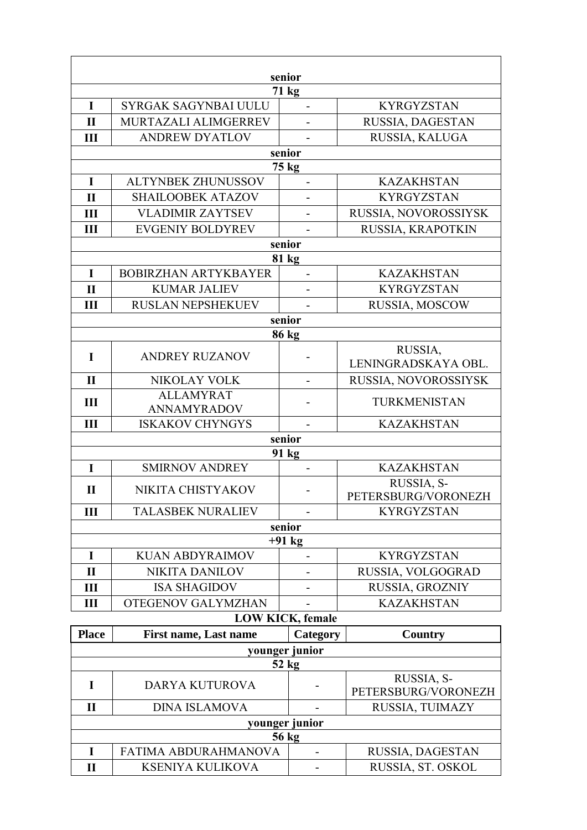| senior                  |                              |                          |                      |  |
|-------------------------|------------------------------|--------------------------|----------------------|--|
|                         |                              | 71 kg                    |                      |  |
| I                       | SYRGAK SAGYNBAI UULU         | $\overline{a}$           | <b>KYRGYZSTAN</b>    |  |
| $\mathbf{I}$            | MURTAZALI ALIMGERREV         |                          | RUSSIA, DAGESTAN     |  |
| Ш                       | <b>ANDREW DYATLOV</b>        |                          | RUSSIA, KALUGA       |  |
|                         |                              | senior                   |                      |  |
|                         |                              | $75 \text{ kg}$          |                      |  |
| I                       | <b>ALTYNBEK ZHUNUSSOV</b>    | $\overline{\phantom{0}}$ | <b>KAZAKHSTAN</b>    |  |
| $\mathbf{I}$            | <b>SHAILOOBEK ATAZOV</b>     |                          | <b>KYRGYZSTAN</b>    |  |
| III                     | <b>VLADIMIR ZAYTSEV</b>      | $\overline{\phantom{0}}$ | RUSSIA, NOVOROSSIYSK |  |
| Ш                       | <b>EVGENIY BOLDYREV</b>      |                          | RUSSIA, KRAPOTKIN    |  |
|                         |                              | senior                   |                      |  |
|                         |                              | 81 kg                    |                      |  |
| I                       | <b>BOBIRZHAN ARTYKBAYER</b>  | $\overline{a}$           | <b>KAZAKHSTAN</b>    |  |
| $\mathbf{I}$            | <b>KUMAR JALIEV</b>          |                          | <b>KYRGYZSTAN</b>    |  |
| Ш                       | <b>RUSLAN NEPSHEKUEV</b>     |                          | RUSSIA, MOSCOW       |  |
|                         |                              | senior                   |                      |  |
|                         |                              | 86 kg                    |                      |  |
| $\mathbf I$             | <b>ANDREY RUZANOV</b>        |                          | RUSSIA,              |  |
|                         |                              |                          | LENINGRADSKAYA OBL.  |  |
| $\mathbf{I}$            | NIKOLAY VOLK                 | $\overline{a}$           | RUSSIA, NOVOROSSIYSK |  |
| III                     | <b>ALLAMYRAT</b>             | $\overline{\phantom{a}}$ | TURKMENISTAN         |  |
|                         | <b>ANNAMYRADOV</b>           |                          |                      |  |
| III                     | <b>ISKAKOV CHYNGYS</b>       | $\blacksquare$<br>senior | <b>KAZAKHSTAN</b>    |  |
|                         |                              | 91 kg                    |                      |  |
| I                       | <b>SMIRNOV ANDREY</b>        | $\blacksquare$           | <b>KAZAKHSTAN</b>    |  |
|                         |                              |                          | RUSSIA, S-           |  |
| $\mathbf{I}$            | NIKITA CHISTYAKOV            |                          | PETERSBURG/VORONEZH  |  |
| Ш                       | <b>TALASBEK NURALIEV</b>     |                          | <b>KYRGYZSTAN</b>    |  |
| senior                  |                              |                          |                      |  |
| $+91$ kg                |                              |                          |                      |  |
| I                       | <b>KUAN ABDYRAIMOV</b>       |                          | <b>KYRGYZSTAN</b>    |  |
| $\mathbf{I}$            | <b>NIKITA DANILOV</b>        | -                        | RUSSIA, VOLGOGRAD    |  |
| III                     | <b>ISA SHAGIDOV</b>          |                          | RUSSIA, GROZNIY      |  |
| Ш                       | <b>OTEGENOV GALYMZHAN</b>    |                          | <b>KAZAKHSTAN</b>    |  |
| <b>LOW KICK, female</b> |                              |                          |                      |  |
| <b>Place</b>            | <b>First name, Last name</b> | Category                 | Country              |  |
| younger junior          |                              |                          |                      |  |
| $52$ kg                 |                              |                          |                      |  |

| JA RE          |                         |  |                                   |
|----------------|-------------------------|--|-----------------------------------|
|                | <b>DARYA KUTUROVA</b>   |  | RUSSIA, S-<br>PETERSBURG/VORONEZH |
|                | <b>DINA ISLAMOVA</b>    |  | RUSSIA, TUIMAZY                   |
| younger junior |                         |  |                                   |
| 56 kg          |                         |  |                                   |
|                | FATIMA ABDURAHMANOVA    |  | RUSSIA, DAGESTAN                  |
|                | <b>KSENIYA KULIKOVA</b> |  | RUSSIA, ST. OSKOL                 |